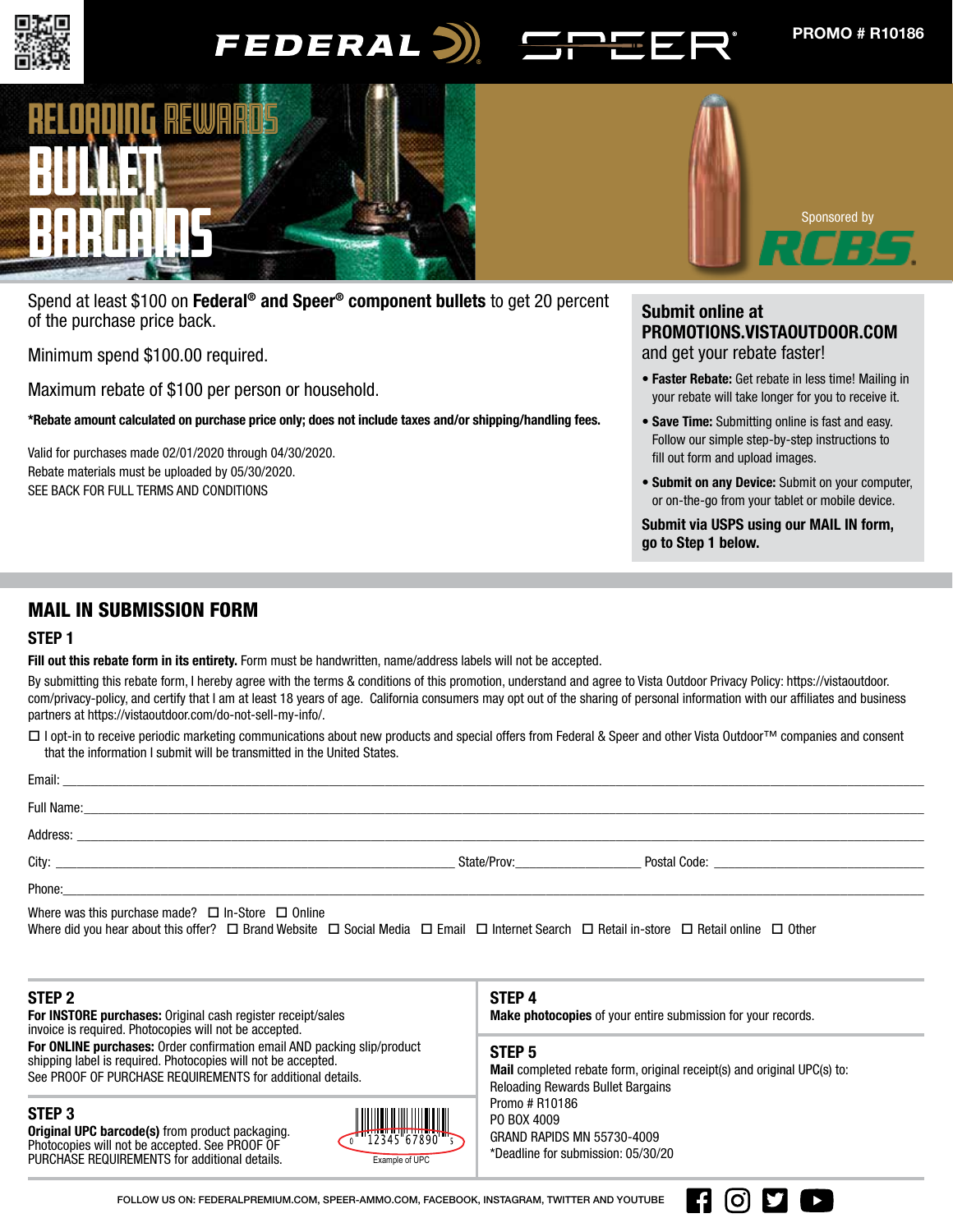

# FEDERAL<sup>3</sup>





Spend at least \$100 on Federal<sup>®</sup> and Speer<sup>®</sup> component bullets to get 20 percent of the purchase price back.

Minimum spend \$100.00 required.

Maximum rebate of \$100 per person or household.

\*Rebate amount calculated on purchase price only; does not include taxes and/or shipping/handling fees.

Valid for purchases made 02/01/2020 through 04/30/2020. Rebate materials must be uploaded by 05/30/2020. SEE BACK FOR FULL TERMS AND CONDITIONS

# Submit online at PROMOTIONS.VISTAOUTDOOR.COM and get your rebate faster!

- Faster Rebate: Get rebate in less time! Mailing in your rebate will take longer for you to receive it.
- Save Time: Submitting online is fast and easy. Follow our simple step-by-step instructions to fill out form and upload images.
- Submit on any Device: Submit on your computer, or on-the-go from your tablet or mobile device.

Submit via USPS using our MAIL IN form, go to Step 1 below.

[O] **D** 

 $\blacktriangleright$ 

# MAIL IN SUBMISSION FORM

# STEP 1

Fill out this rebate form in its entirety. Form must be handwritten, name/address labels will not be accepted.

By submitting this rebate form, I hereby agree with the terms & conditions of this promotion, understand and agree to Vista Outdoor Privacy Policy: https://vistaoutdoor. com/privacy-policy, and certify that I am at least 18 years of age. California consumers may opt out of the sharing of personal information with our affiliates and business partners at https://vistaoutdoor.com/do-not-sell-my-info/.

□ I opt-in to receive periodic marketing communications about new products and special offers from Federal & Speer and other Vista Outdoor™ companies and consent that the information I submit will be transmitted in the United States.

| Phone: Note and the contract of the contract of the contract of the contract of the contract of the contract of the contract of the contract of the contract of the contract of the contract of the contract of the contract o            |  |
|-------------------------------------------------------------------------------------------------------------------------------------------------------------------------------------------------------------------------------------------|--|
| Where was this purchase made? $\Box$ In-Store $\Box$ Online<br>Where did you hear about this offer? $\Box$ Brand Website $\Box$ Social Media $\Box$ Email $\Box$ Internet Search $\Box$ Retail in-store $\Box$ Retail online $\Box$ Other |  |

| STEP 2<br>For INSTORE purchases: Original cash register receipt/sales<br>invoice is required. Photocopies will not be accepted.                                                                        |                                                         | STEP 4<br><b>Make photocopies</b> of your entire submission for your records.                                                                   |  |
|--------------------------------------------------------------------------------------------------------------------------------------------------------------------------------------------------------|---------------------------------------------------------|-------------------------------------------------------------------------------------------------------------------------------------------------|--|
| For ONLINE purchases: Order confirmation email AND packing slip/product<br>shipping label is required. Photocopies will not be accepted.<br>See PROOF OF PURCHASE REQUIREMENTS for additional details. |                                                         | STEP <sub>5</sub><br><b>Mail</b> completed rebate form, original receipt(s) and original UPC(s) to:<br><b>Reloading Rewards Bullet Bargains</b> |  |
| STEP <sub>3</sub><br><b>Original UPC barcode(s)</b> from product packaging.<br>Photocopies will not be accepted. See PROOF OF<br>PURCHASE REQUIREMENTS for additional details.                         | $\frac{1}{4}$ $\frac{1}{12345667890}$<br>Example of UPC | Promo # R10186<br>PO BOX 4009<br><b>GRAND RAPIDS MN 55730-4009</b><br>*Deadline for submission: 05/30/20                                        |  |